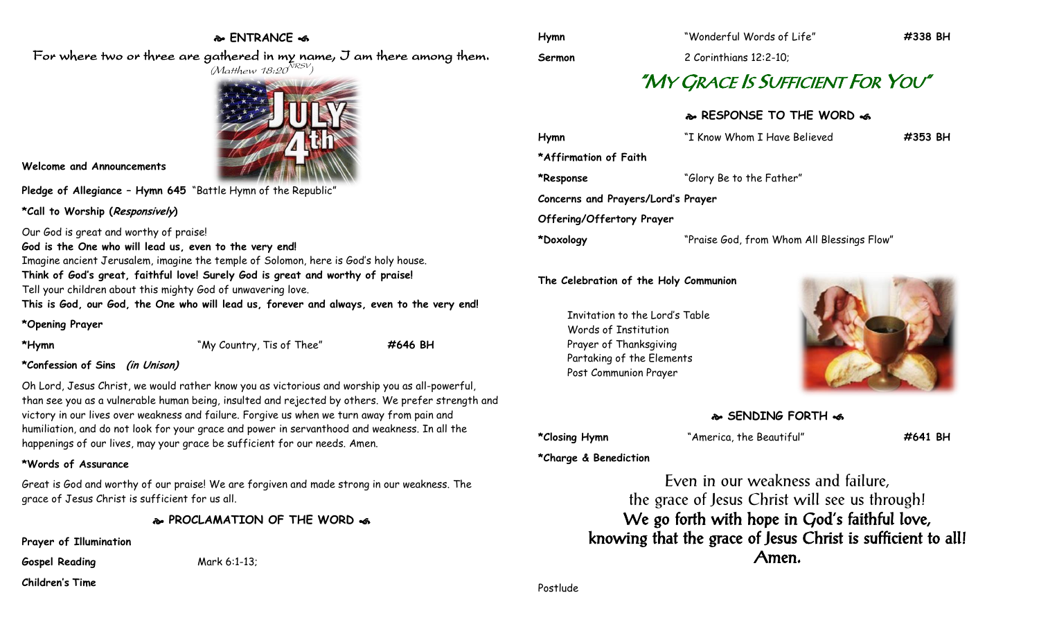## **ENTRANCE**

For where two or three are gathered in my name, I am there among them.



**Welcome and Announcements**

**Pledge of Allegiance – Hymn 645** "Battle Hymn of the Republic"

**\*Call to Worship (Responsively)** 

Our God is great and worthy of praise!

**God is the One who will lead us, even to the very end!** Imagine ancient Jerusalem, imagine the temple of Solomon, here is God's holy house. **Think of God's great, faithful love! Surely God is great and worthy of praise!** Tell your children about this mighty God of unwavering love. **This is God, our God, the One who will lead us, forever and always, even to the very end!**

**\*Opening Prayer**

| *Hymn |  |
|-------|--|
|       |  |

**\*Confession of Sins (in Unison)**

Oh Lord, Jesus Christ, we would rather know you as victorious and worship you as all-powerful, than see you as a vulnerable human being, insulted and rejected by others. We prefer strength and victory in our lives over weakness and failure. Forgive us when we turn away from pain and humiliation, and do not look for your grace and power in servanthood and weakness. In all the happenings of our lives, may your grace be sufficient for our needs. Amen.

**\*Hymn** "My Country, Tis of Thee" **#646 BH**

### **\*Words of Assurance**

Great is God and worthy of our praise! We are forgiven and made strong in our weakness. The grace of Jesus Christ is sufficient for us all.

**PROCLAMATION OF THE WORD** 

**Prayer of Illumination**

**Gospel Reading** Mark 6:1-13;

**Children's Time**

**Sermon** 2 Corinthians 12:2-10;

# "MY GRACE IS SUFFICIENT FOR YOU"

## **RESPONSE TO THE WORD**

| Hymn                               | "I Know Whom I Have Believed               | #353 BH |
|------------------------------------|--------------------------------------------|---------|
| *Affirmation of Faith              |                                            |         |
| *Response                          | "Glory Be to the Father"                   |         |
| Concerns and Prayers/Lord's Prayer |                                            |         |
| Offering/Offertory Prayer          |                                            |         |
| *Doxology                          | "Praise God, from Whom All Blessings Flow" |         |

#### **The Celebration of the Holy Communion**

Invitation to the Lord's Table Words of Institution Prayer of Thanksgiving Partaking of the Elements Post Communion Prayer



## **SENDING FORTH**

**\*Closing Hymn** "America, the Beautiful" **#641 BH**

**\*Charge & Benediction**

Even in our weakness and failure, the grace of Jesus Christ will see us through! We go forth with hope in God's faithful love, knowing that the grace of Jesus Christ is sufficient to all! Amen.

Postlude